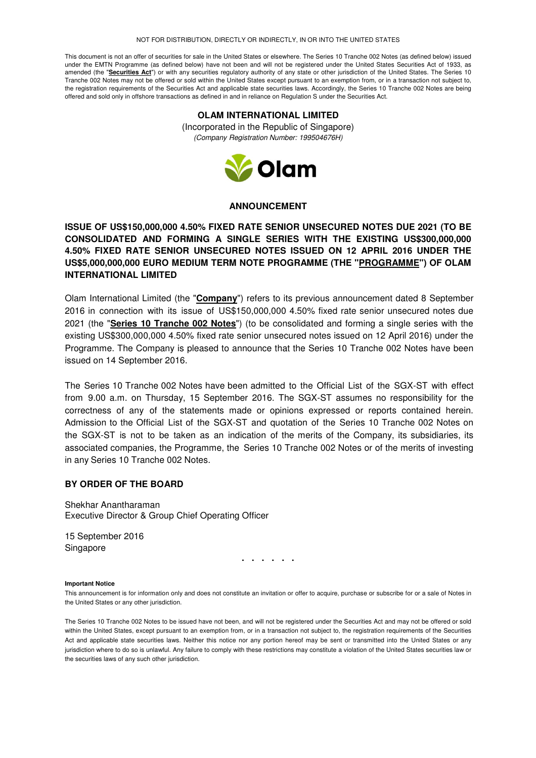#### NOT FOR DISTRIBUTION, DIRECTLY OR INDIRECTLY, IN OR INTO THE UNITED STATES

This document is not an offer of securities for sale in the United States or elsewhere. The Series 10 Tranche 002 Notes (as defined below) issued under the EMTN Programme (as defined below) have not been and will not be registered under the United States Securities Act of 1933, as amended (the "**Securities Act**") or with any securities regulatory authority of any state or other jurisdiction of the United States. The Series 10 Tranche 002 Notes may not be offered or sold within the United States except pursuant to an exemption from, or in a transaction not subject to, the registration requirements of the Securities Act and applicable state securities laws. Accordingly, the Series 10 Tranche 002 Notes are being offered and sold only in offshore transactions as defined in and in reliance on Regulation S under the Securities Act.

# **OLAM INTERNATIONAL LIMITED**

(Incorporated in the Republic of Singapore) (Company Registration Number: 199504676H)



### **ANNOUNCEMENT**

## **ISSUE OF US\$150,000,000 4.50% FIXED RATE SENIOR UNSECURED NOTES DUE 2021 (TO BE CONSOLIDATED AND FORMING A SINGLE SERIES WITH THE EXISTING US\$300,000,000 4.50% FIXED RATE SENIOR UNSECURED NOTES ISSUED ON 12 APRIL 2016 UNDER THE US\$5,000,000,000 EURO MEDIUM TERM NOTE PROGRAMME (THE "PROGRAMME") OF OLAM INTERNATIONAL LIMITED**

Olam International Limited (the "**Company**") refers to its previous announcement dated 8 September 2016 in connection with its issue of US\$150,000,000 4.50% fixed rate senior unsecured notes due 2021 (the "**Series 10 Tranche 002 Notes**") (to be consolidated and forming a single series with the existing US\$300,000,000 4.50% fixed rate senior unsecured notes issued on 12 April 2016) under the Programme. The Company is pleased to announce that the Series 10 Tranche 002 Notes have been issued on 14 September 2016.

The Series 10 Tranche 002 Notes have been admitted to the Official List of the SGX-ST with effect from 9.00 a.m. on Thursday, 15 September 2016. The SGX-ST assumes no responsibility for the correctness of any of the statements made or opinions expressed or reports contained herein. Admission to the Official List of the SGX-ST and quotation of the Series 10 Tranche 002 Notes on the SGX-ST is not to be taken as an indication of the merits of the Company, its subsidiaries, its associated companies, the Programme, the Series 10 Tranche 002 Notes or of the merits of investing in any Series 10 Tranche 002 Notes.

### **BY ORDER OF THE BOARD**

Shekhar Anantharaman Executive Director & Group Chief Operating Officer

15 September 2016 Singapore

**. . . . . .** 

#### **Important Notice**

This announcement is for information only and does not constitute an invitation or offer to acquire, purchase or subscribe for or a sale of Notes in the United States or any other jurisdiction.

The Series 10 Tranche 002 Notes to be issued have not been, and will not be registered under the Securities Act and may not be offered or sold within the United States, except pursuant to an exemption from, or in a transaction not subject to, the registration requirements of the Securities Act and applicable state securities laws. Neither this notice nor any portion hereof may be sent or transmitted into the United States or any jurisdiction where to do so is unlawful. Any failure to comply with these restrictions may constitute a violation of the United States securities law or the securities laws of any such other jurisdiction.